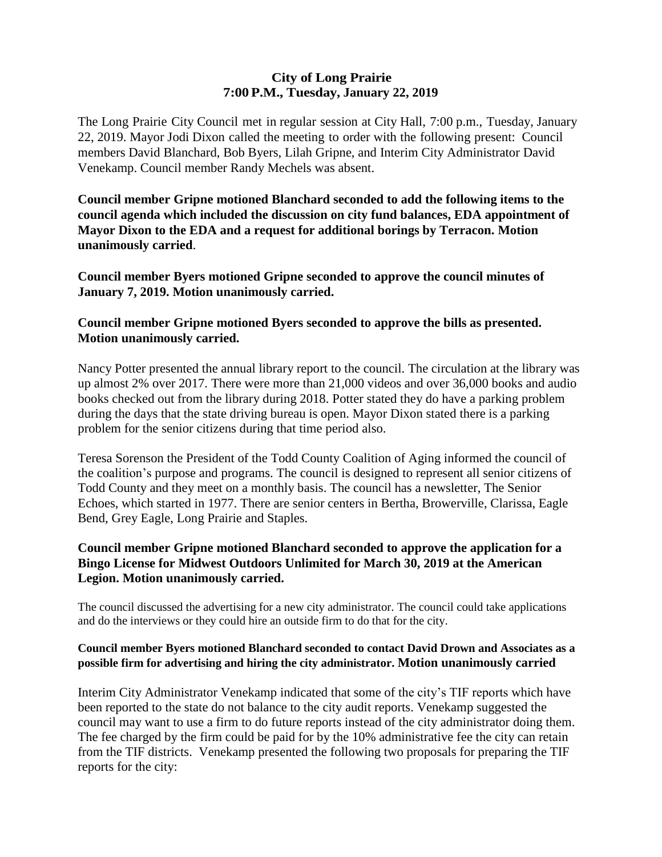### **City of Long Prairie 7:00P.M., Tuesday, January 22, 2019**

The Long Prairie City Council met in regular session at City Hall, 7:00 p.m., Tuesday, January 22, 2019. Mayor Jodi Dixon called the meeting to order with the following present: Council members David Blanchard, Bob Byers, Lilah Gripne, and Interim City Administrator David Venekamp. Council member Randy Mechels was absent.

**Council member Gripne motioned Blanchard seconded to add the following items to the council agenda which included the discussion on city fund balances, EDA appointment of Mayor Dixon to the EDA and a request for additional borings by Terracon. Motion unanimously carried**.

**Council member Byers motioned Gripne seconded to approve the council minutes of January 7, 2019. Motion unanimously carried.**

# **Council member Gripne motioned Byers seconded to approve the bills as presented. Motion unanimously carried.**

Nancy Potter presented the annual library report to the council. The circulation at the library was up almost 2% over 2017. There were more than 21,000 videos and over 36,000 books and audio books checked out from the library during 2018. Potter stated they do have a parking problem during the days that the state driving bureau is open. Mayor Dixon stated there is a parking problem for the senior citizens during that time period also.

Teresa Sorenson the President of the Todd County Coalition of Aging informed the council of the coalition's purpose and programs. The council is designed to represent all senior citizens of Todd County and they meet on a monthly basis. The council has a newsletter, The Senior Echoes, which started in 1977. There are senior centers in Bertha, Browerville, Clarissa, Eagle Bend, Grey Eagle, Long Prairie and Staples.

# **Council member Gripne motioned Blanchard seconded to approve the application for a Bingo License for Midwest Outdoors Unlimited for March 30, 2019 at the American Legion. Motion unanimously carried.**

The council discussed the advertising for a new city administrator. The council could take applications and do the interviews or they could hire an outside firm to do that for the city.

### **Council member Byers motioned Blanchard seconded to contact David Drown and Associates as a possible firm for advertising and hiring the city administrator. Motion unanimously carried**

Interim City Administrator Venekamp indicated that some of the city's TIF reports which have been reported to the state do not balance to the city audit reports. Venekamp suggested the council may want to use a firm to do future reports instead of the city administrator doing them. The fee charged by the firm could be paid for by the 10% administrative fee the city can retain from the TIF districts. Venekamp presented the following two proposals for preparing the TIF reports for the city: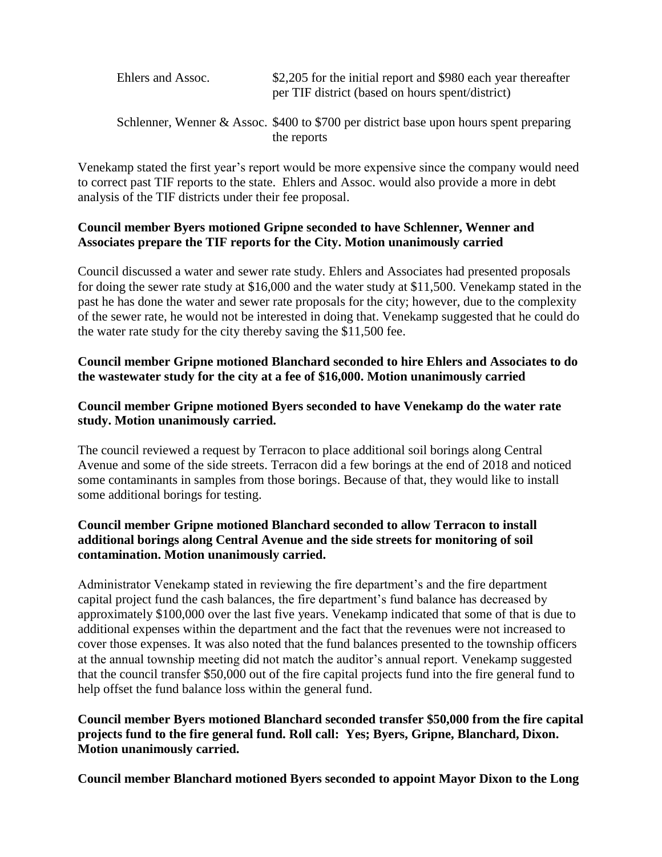| Ehlers and Assoc. | \$2,205 for the initial report and \$980 each year thereafter<br>per TIF district (based on hours spent/district) |
|-------------------|-------------------------------------------------------------------------------------------------------------------|
|                   | Schlenner, Wenner & Assoc. $$400$ to $$700$ per district base upon hours spent preparing<br>the reports           |

Venekamp stated the first year's report would be more expensive since the company would need to correct past TIF reports to the state. Ehlers and Assoc. would also provide a more in debt analysis of the TIF districts under their fee proposal.

# **Council member Byers motioned Gripne seconded to have Schlenner, Wenner and Associates prepare the TIF reports for the City. Motion unanimously carried**

Council discussed a water and sewer rate study. Ehlers and Associates had presented proposals for doing the sewer rate study at \$16,000 and the water study at \$11,500. Venekamp stated in the past he has done the water and sewer rate proposals for the city; however, due to the complexity of the sewer rate, he would not be interested in doing that. Venekamp suggested that he could do the water rate study for the city thereby saving the \$11,500 fee.

### **Council member Gripne motioned Blanchard seconded to hire Ehlers and Associates to do the wastewater study for the city at a fee of \$16,000. Motion unanimously carried**

### **Council member Gripne motioned Byers seconded to have Venekamp do the water rate study. Motion unanimously carried.**

The council reviewed a request by Terracon to place additional soil borings along Central Avenue and some of the side streets. Terracon did a few borings at the end of 2018 and noticed some contaminants in samples from those borings. Because of that, they would like to install some additional borings for testing.

# **Council member Gripne motioned Blanchard seconded to allow Terracon to install additional borings along Central Avenue and the side streets for monitoring of soil contamination. Motion unanimously carried.**

Administrator Venekamp stated in reviewing the fire department's and the fire department capital project fund the cash balances, the fire department's fund balance has decreased by approximately \$100,000 over the last five years. Venekamp indicated that some of that is due to additional expenses within the department and the fact that the revenues were not increased to cover those expenses. It was also noted that the fund balances presented to the township officers at the annual township meeting did not match the auditor's annual report. Venekamp suggested that the council transfer \$50,000 out of the fire capital projects fund into the fire general fund to help offset the fund balance loss within the general fund.

# **Council member Byers motioned Blanchard seconded transfer \$50,000 from the fire capital projects fund to the fire general fund. Roll call: Yes; Byers, Gripne, Blanchard, Dixon. Motion unanimously carried.**

**Council member Blanchard motioned Byers seconded to appoint Mayor Dixon to the Long**